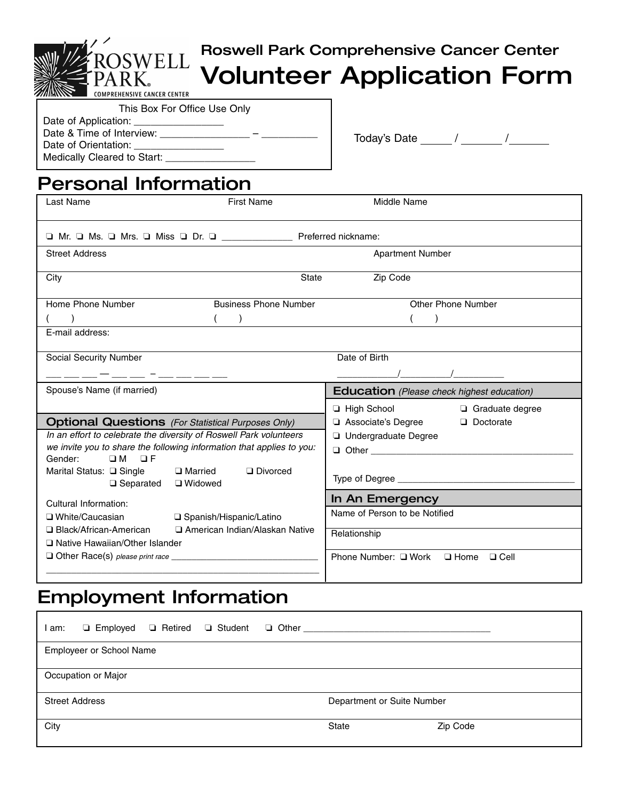# Roswell Park Comprehensive Cancer Center **Volunteer Application Form**

**CANCER CENTER** 

| This Box For Office Use Only        |  |
|-------------------------------------|--|
| Date of Application: ______________ |  |
| Date & Time of Interview:           |  |
| Date of Orientation:                |  |
| Medically Cleared to Start: _       |  |

**SWELL** 

Today's Date  $\frac{1}{2}$  /  $\frac{1}{2}$  /  $\frac{1}{2}$ 

## **Personal Information**

| Last Name                                                    | <b>First Name</b>                                                     | Middle Name                                       |
|--------------------------------------------------------------|-----------------------------------------------------------------------|---------------------------------------------------|
|                                                              | O Mr. O Ms. O Mrs. O Miss O Dr. O Contract Deferred nickname:         |                                                   |
| <b>Street Address</b>                                        |                                                                       | <b>Apartment Number</b>                           |
| City                                                         | <b>State</b>                                                          | Zip Code                                          |
| Home Phone Number                                            | <b>Business Phone Number</b>                                          | Other Phone Number                                |
|                                                              |                                                                       |                                                   |
| E-mail address:                                              |                                                                       |                                                   |
| Social Security Number                                       |                                                                       | Date of Birth                                     |
|                                                              |                                                                       |                                                   |
| Spouse's Name (if married)                                   |                                                                       | <b>Education</b> (Please check highest education) |
|                                                              |                                                                       | $\Box$ High School<br>Graduate degree             |
|                                                              | <b>Optional Questions</b> (For Statistical Purposes Only)             | Associate's Degree<br>Doctorate                   |
|                                                              | In an effort to celebrate the diversity of Roswell Park volunteers    | <b>Undergraduate Degree</b>                       |
| $OM$ OF                                                      | we invite you to share the following information that applies to you: |                                                   |
| Gender:<br>Marital Status: □ Single<br>□ Separated □ Widowed | □ Married<br>Divorced                                                 |                                                   |
| Cultural Information:                                        |                                                                       | In An Emergency                                   |
| □ White/Caucasian                                            | □ Spanish/Hispanic/Latino                                             | Name of Person to be Notified                     |
| □ Black/African-American                                     | □ American Indian/Alaskan Native                                      | Relationship                                      |
| □ Native Hawaiian/Other Islander                             |                                                                       |                                                   |
|                                                              |                                                                       | Phone Number: □ Work □ Home □ Cell                |
|                                                              |                                                                       |                                                   |

## **Employment Information**

| l am:                 |                                 |  | □ Employed □ Retired □ Student □ Other _____ |                            |          |
|-----------------------|---------------------------------|--|----------------------------------------------|----------------------------|----------|
|                       | <b>Employeer or School Name</b> |  |                                              |                            |          |
|                       | Occupation or Major             |  |                                              |                            |          |
| <b>Street Address</b> |                                 |  |                                              | Department or Suite Number |          |
| City                  |                                 |  |                                              | <b>State</b>               | Zip Code |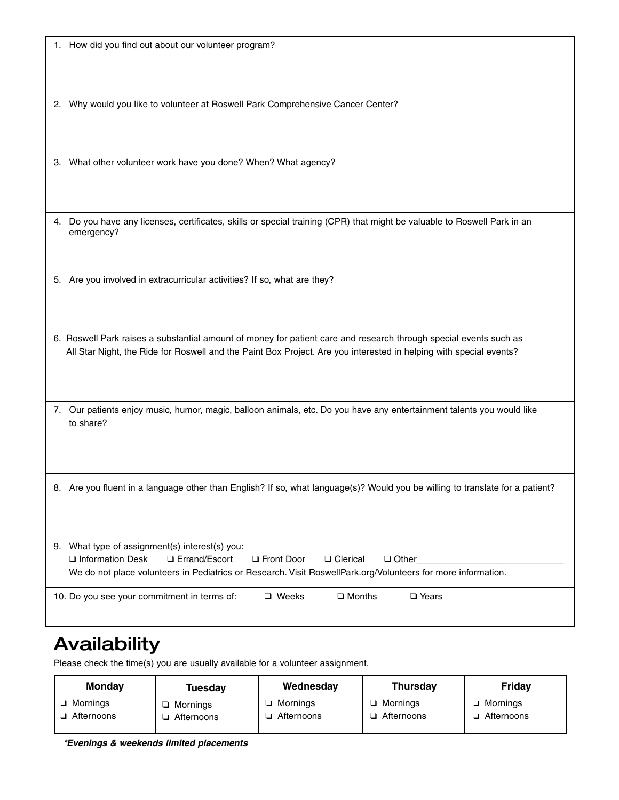|  |  |  |  | 1. How did you find out about our volunteer program? |  |
|--|--|--|--|------------------------------------------------------|--|
|--|--|--|--|------------------------------------------------------|--|

2. Why would you like to volunteer at Roswell Park Comprehensive Cancer Center?

3. What other volunteer work have you done? When? What agency?

4. Do you have any licenses, certificates, skills or special training (CPR) that might be valuable to Roswell Park in an emergency?

5. Are you involved in extracurricular activities? If so, what are they?

6. Roswell Park raises a substantial amount of money for patient care and research through special events such as All Star Night, the Ride for Roswell and the Paint Box Project. Are you interested in helping with special events?

7. Our patients enjoy music, humor, magic, balloon animals, etc. Do you have any entertainment talents you would like to share?

8. Are you fluent in a language other than English? If so, what language(s)? Would you be willing to translate for a patient?

| 9. What type of assignment(s) interest(s) you: |              |                  |                                                                                                              |  |
|------------------------------------------------|--------------|------------------|--------------------------------------------------------------------------------------------------------------|--|
| $\Box$ Information Desk $\Box$ Errand/Escort   | □ Front Door | □ Clerical       | $\Box$ Other                                                                                                 |  |
|                                                |              |                  | We do not place volunteers in Pediatrics or Research. Visit RoswellPark.org/Volunteers for more information. |  |
|                                                |              |                  |                                                                                                              |  |
| 10. Do you see your commitment in terms of:    | $\Box$ Weeks | $\square$ Months | □ Years                                                                                                      |  |

### **Availability**

Please check the time(s) you are usually available for a volunteer assignment.

| <b>Monday</b> | Tuesday    | Wednesday  | <b>Thursday</b> | Friday       |
|---------------|------------|------------|-----------------|--------------|
| Mornings      | Mornings   | Mornings   | Mornings        | Mornings     |
| Afternoons    | Afternoons | Afternoons | Afternoons      | l Afternoons |

*\*Evenings & weekends limited placements*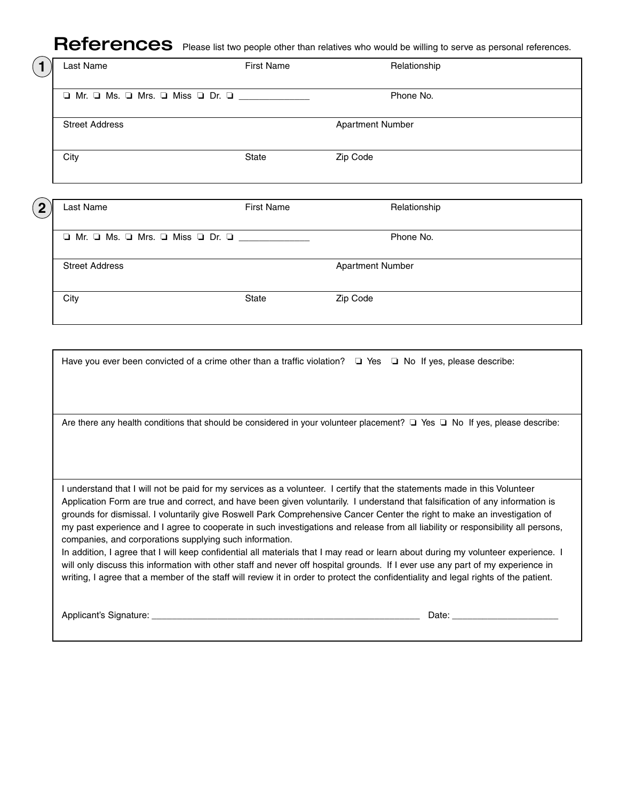### References Please list two people other than relatives who would be willing to serve as personal references.

| Last Name                                     | <b>First Name</b> | Relationship            |
|-----------------------------------------------|-------------------|-------------------------|
| □ Mr. □ Ms. □ Mrs. □ Miss □ Dr. □ ___________ |                   | Phone No.               |
| <b>Street Address</b>                         |                   | <b>Apartment Number</b> |
| City                                          | <b>State</b>      | Zip Code                |

| $\boldsymbol{2}$ | Last Name                                                       | <b>First Name</b> | Relationship            |
|------------------|-----------------------------------------------------------------|-------------------|-------------------------|
|                  | $\Box$ Mr. $\Box$ Ms. $\Box$ Mrs. $\Box$ Miss $\Box$ Dr. $\Box$ |                   | Phone No.               |
|                  | <b>Street Address</b>                                           |                   | <b>Apartment Number</b> |
|                  |                                                                 |                   |                         |

City **State Zip Code** 

Have you ever been convicted of a crime other than a traffic violation? □ Yes □ No If yes, please describe: Are there any health conditions that should be considered in your volunteer placement? □ Yes □ No If yes, please describe: I understand that I will not be paid for my services as a volunteer. I certify that the statements made in this Volunteer Application Form are true and correct, and have been given voluntarily. I understand that falsification of any information is grounds for dismissal. I voluntarily give Roswell Park Comprehensive Cancer Center the right to make an investigation of my past experience and I agree to cooperate in such investigations and release from all liability or responsibility all persons, companies, and corporations supplying such information. In addition, I agree that I will keep confidential all materials that I may read or learn about during my volunteer experience. I will only discuss this information with other staff and never off hospital grounds. If I ever use any part of my experience in writing, I agree that a member of the staff will review it in order to protect the confidentiality and legal rights of the patient. Applicant's Signature: \_\_\_\_\_\_\_\_\_\_\_\_\_\_\_\_\_\_\_\_\_\_\_\_\_\_\_\_\_\_\_\_\_\_\_\_\_\_\_\_\_\_\_\_\_\_\_\_\_\_\_\_\_ Date: \_\_\_\_\_\_\_\_\_\_\_\_\_\_\_\_\_\_\_\_\_

**1**